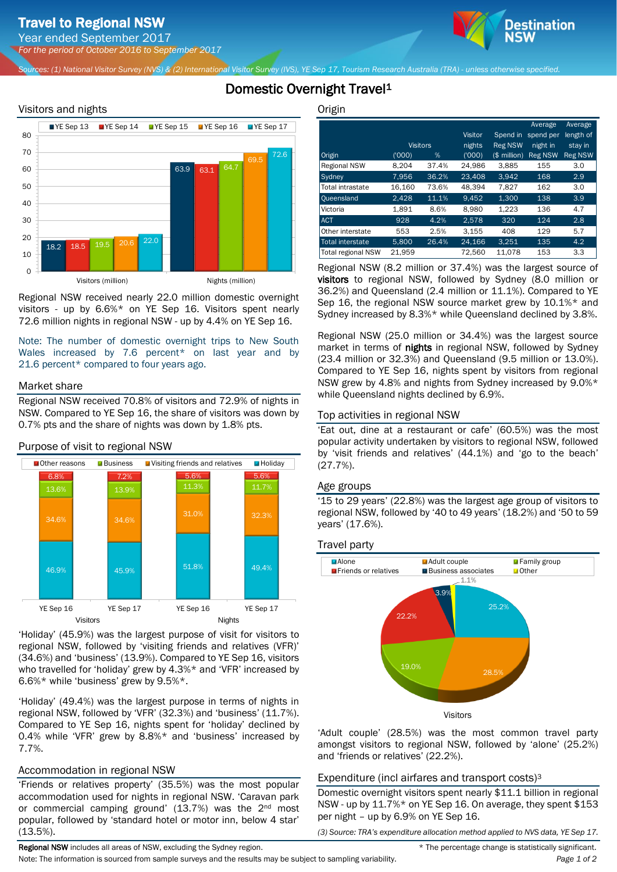Year ended September 2017 *For the period of October 2016 to September 2017*

*Sources: (1) National Visitor Survey (NVS) & (2) International Visitor Survey (IVS), YE Sep 17, Tourism Research Australia (TRA) - unless otherwise specified.*

# Domestic Overnight Travel<sup>1</sup>

### Visitors and nights



Regional NSW received nearly 22.0 million domestic overnight visitors - up by 6.6%\* on YE Sep 16. Visitors spent nearly 72.6 million nights in regional NSW - up by 4.4% on YE Sep 16.

Note: The number of domestic overnight trips to New South Wales increased by 7.6 percent\* on last year and by 21.6 percent\* compared to four years ago.

#### Market share

Regional NSW received 70.8% of visitors and 72.9% of nights in NSW. Compared to YE Sep 16, the share of visitors was down by 0.7% pts and the share of nights was down by 1.8% pts.



'Holiday' (45.9%) was the largest purpose of visit for visitors to regional NSW, followed by 'visiting friends and relatives (VFR)' (34.6%) and 'business' (13.9%). Compared to YE Sep 16, visitors who travelled for 'holiday' grew by 4.3%\* and 'VFR' increased by 6.6%\* while 'business' grew by 9.5%\*.

'Holiday' (49.4%) was the largest purpose in terms of nights in regional NSW, followed by 'VFR' (32.3%) and 'business' (11.7%). Compared to YE Sep 16, nights spent for 'holiday' declined by 0.4% while 'VFR' grew by 8.8%\* and 'business' increased by 7.7%.

# Accommodation in regional NSW

'Friends or relatives property' (35.5%) was the most popular accommodation used for nights in regional NSW. 'Caravan park or commercial camping ground' (13.7%) was the 2<sup>nd</sup> most popular, followed by 'standard hotel or motor inn, below 4 star' (13.5%).

**Origin** 

|                           |                 |       |         |                | Average        | Average        |
|---------------------------|-----------------|-------|---------|----------------|----------------|----------------|
|                           |                 |       | Visitor | Spend in       | spend per      | length of      |
|                           | <b>Visitors</b> |       | nights  | <b>Reg NSW</b> | night in       | stay in        |
| Origin                    | (1000)          | %     | (000)   | $(S$ million)  | <b>Reg NSW</b> | <b>Reg NSW</b> |
| <b>Regional NSW</b>       | 8.204           | 37.4% | 24,986  | 3,885          | 155            | 3.0            |
| Sydney                    | 7.956           | 36.2% | 23,408  | 3.942          | 168            | 2.9            |
| <b>Total intrastate</b>   | 16.160          | 73.6% | 48.394  | 7.827          | 162            | 3.0            |
| Oueensland                | 2.428           | 11.1% | 9.452   | 1.300          | 138            | 3.9            |
| Victoria                  | 1.891           | 8.6%  | 8.980   | 1.223          | 136            | 4.7            |
| <b>ACT</b>                | 928             | 4.2%  | 2.578   | 320            | 124            | 2.8            |
| Other interstate          | 553             | 2.5%  | 3.155   | 408            | 129            | 5.7            |
| <b>Total interstate</b>   | 5.800           | 26.4% | 24.166  | 3.251          | 135            | 4.2            |
| <b>Total regional NSW</b> | 21.959          |       | 72,560  | 11.078         | 153            | 3.3            |

Destination

Regional NSW (8.2 million or 37.4%) was the largest source of visitors to regional NSW, followed by Sydney (8.0 million or 36.2%) and Queensland (2.4 million or 11.1%). Compared to YE Sep 16, the regional NSW source market grew by 10.1%\* and Sydney increased by 8.3%\* while Queensland declined by 3.8%.

Regional NSW (25.0 million or 34.4%) was the largest source market in terms of nights in regional NSW, followed by Sydney (23.4 million or 32.3%) and Queensland (9.5 million or 13.0%). Compared to YE Sep 16, nights spent by visitors from regional NSW grew by 4.8% and nights from Sydney increased by 9.0%\* while Queensland nights declined by 6.9%.

#### Top activities in regional NSW

'Eat out, dine at a restaurant or cafe' (60.5%) was the most popular activity undertaken by visitors to regional NSW, followed by 'visit friends and relatives' (44.1%) and 'go to the beach' (27.7%).

#### Age groups

'15 to 29 years' (22.8%) was the largest age group of visitors to regional NSW, followed by '40 to 49 years' (18.2%) and '50 to 59 years' (17.6%).

#### Travel party



'Adult couple' (28.5%) was the most common travel party amongst visitors to regional NSW, followed by 'alone' (25.2%) and 'friends or relatives' (22.2%).

# Expenditure (incl airfares and transport costs)<sup>3</sup>

Domestic overnight visitors spent nearly \$11.1 billion in regional NSW - up by 11.7%\* on YE Sep 16. On average, they spent \$153 per night – up by 6.9% on YE Sep 16.

*(3) Source: TRA's expenditure allocation method applied to NVS data, YE Sep 17.*

Note: The information is sourced from sample surveys and the results may be subject to sampling variability. *Page 1 of 2*

Regional NSW includes all areas of NSW, excluding the Sydney region.  $*$  The percentage change is statistically significant.